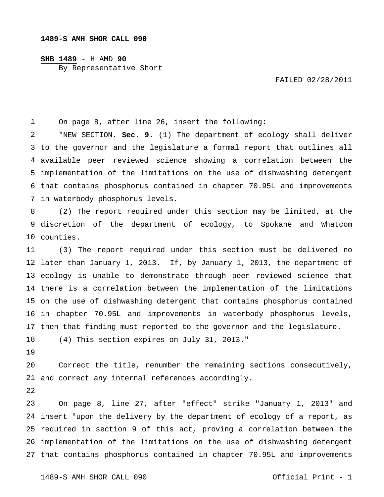## **SHB 1489** - H AMD **90** By Representative Short

FAILED 02/28/2011

 On page 8, after line 26, insert the following:

 to the governor and the legislature a formal report that outlines all available peer reviewed science showing a correlation between the implementation of the limitations on the use of dishwashing detergent that contains phosphorus contained in chapter 70.95L and improvements in waterbody phosphorus levels. "NEW SECTION. **Sec. 9.** (1) The department of ecology shall deliver

 discretion of the department of ecology, to Spokane and Whatcom counties. (2) The report required under this section may be limited, at the

 later than January 1, 2013. If, by January 1, 2013, the department of ecology is unable to demonstrate through peer reviewed science that there is a correlation between the implementation of the limitations on the use of dishwashing detergent that contains phosphorus contained in chapter 70.95L and improvements in waterbody phosphorus levels, then that finding must reported to the governor and the legislature. (3) The report required under this section must be delivered no

 (4) This section expires on July 31, 2013."

 and correct any internal references accordingly. Correct the title, renumber the remaining sections consecutively,

 insert "upon the delivery by the department of ecology of a report, as required in section 9 of this act, proving a correlation between the implementation of the limitations on the use of dishwashing detergent that contains phosphorus contained in chapter 70.95L and improvements On page 8, line 27, after "effect" strike "January 1, 2013" and